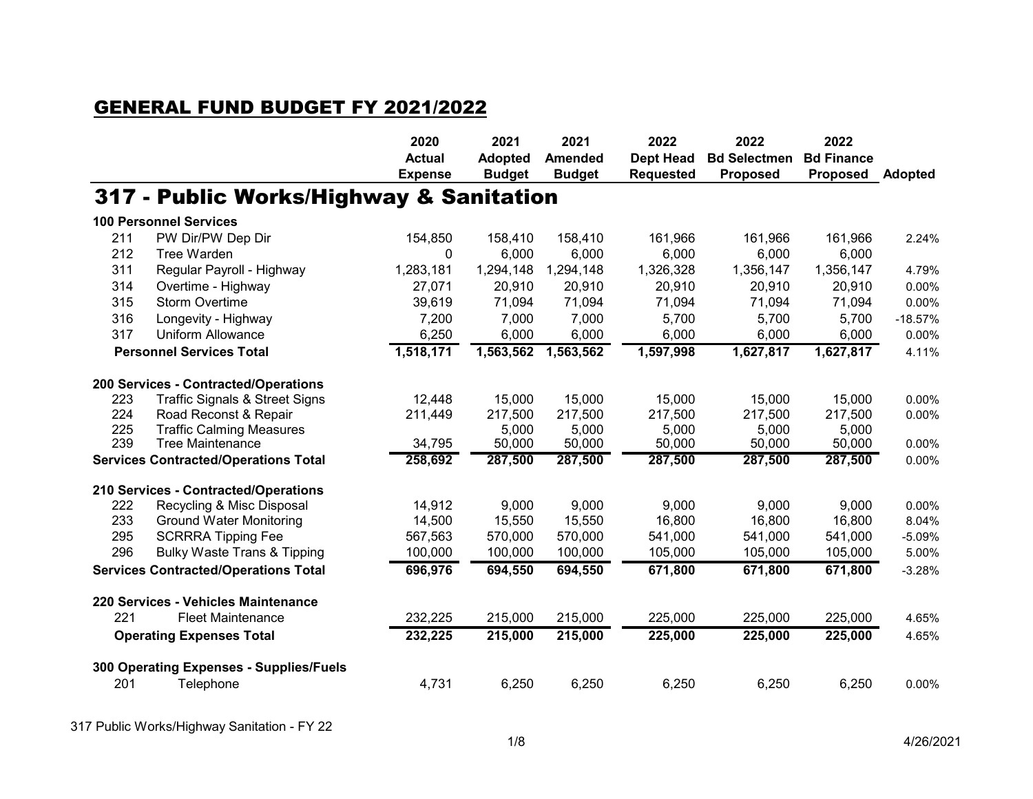## GENERAL FUND BUDGET FY 2021/2022

|     |                                             | 2020<br><b>Actual</b><br><b>Expense</b> | 2021<br><b>Adopted</b><br><b>Budget</b> | 2021<br><b>Amended</b><br><b>Budget</b> | 2022<br><b>Dept Head</b><br><b>Requested</b> | 2022<br><b>Bd Selectmen</b><br><b>Proposed</b> | 2022<br><b>Bd Finance</b><br><b>Proposed</b> | <b>Adopted</b> |
|-----|---------------------------------------------|-----------------------------------------|-----------------------------------------|-----------------------------------------|----------------------------------------------|------------------------------------------------|----------------------------------------------|----------------|
|     | 317 - Public Works/Highway & Sanitation     |                                         |                                         |                                         |                                              |                                                |                                              |                |
|     | <b>100 Personnel Services</b>               |                                         |                                         |                                         |                                              |                                                |                                              |                |
| 211 | PW Dir/PW Dep Dir                           | 154,850                                 | 158,410                                 | 158,410                                 | 161,966                                      | 161,966                                        | 161,966                                      | 2.24%          |
| 212 | Tree Warden                                 | $\mathbf{0}$                            | 6,000                                   | 6,000                                   | 6,000                                        | 6,000                                          | 6,000                                        |                |
| 311 | Regular Payroll - Highway                   | 1,283,181                               | 1,294,148                               | 1,294,148                               | 1,326,328                                    | 1,356,147                                      | 1,356,147                                    | 4.79%          |
| 314 | Overtime - Highway                          | 27,071                                  | 20,910                                  | 20,910                                  | 20,910                                       | 20,910                                         | 20,910                                       | 0.00%          |
| 315 | <b>Storm Overtime</b>                       | 39,619                                  | 71,094                                  | 71,094                                  | 71,094                                       | 71,094                                         | 71,094                                       | 0.00%          |
| 316 | Longevity - Highway                         | 7,200                                   | 7,000                                   | 7,000                                   | 5,700                                        | 5,700                                          | 5,700                                        | $-18.57%$      |
| 317 | <b>Uniform Allowance</b>                    | 6,250                                   | 6,000                                   | 6,000                                   | 6,000                                        | 6,000                                          | 6,000                                        | 0.00%          |
|     | <b>Personnel Services Total</b>             | 1,518,171                               | 1,563,562                               | 1,563,562                               | 1,597,998                                    | 1,627,817                                      | 1,627,817                                    | 4.11%          |
|     | 200 Services - Contracted/Operations        |                                         |                                         |                                         |                                              |                                                |                                              |                |
| 223 | <b>Traffic Signals &amp; Street Signs</b>   | 12,448                                  | 15,000                                  | 15,000                                  | 15,000                                       | 15,000                                         | 15,000                                       | 0.00%          |
| 224 | Road Reconst & Repair                       | 211,449                                 | 217,500                                 | 217,500                                 | 217,500                                      | 217,500                                        | 217,500                                      | 0.00%          |
| 225 | <b>Traffic Calming Measures</b>             |                                         | 5,000                                   | 5,000                                   | 5,000                                        | 5,000                                          | 5,000                                        |                |
| 239 | <b>Tree Maintenance</b>                     | 34,795                                  | 50,000                                  | 50,000                                  | 50,000                                       | 50,000                                         | 50,000                                       | 0.00%          |
|     | <b>Services Contracted/Operations Total</b> | 258,692                                 | 287,500                                 | 287,500                                 | 287,500                                      | 287,500                                        | 287,500                                      | 0.00%          |
|     | 210 Services - Contracted/Operations        |                                         |                                         |                                         |                                              |                                                |                                              |                |
| 222 | Recycling & Misc Disposal                   | 14,912                                  | 9,000                                   | 9,000                                   | 9,000                                        | 9,000                                          | 9,000                                        | 0.00%          |
| 233 | <b>Ground Water Monitoring</b>              | 14,500                                  | 15,550                                  | 15,550                                  | 16,800                                       | 16,800                                         | 16,800                                       | 8.04%          |
| 295 | <b>SCRRRA Tipping Fee</b>                   | 567,563                                 | 570,000                                 | 570,000                                 | 541,000                                      | 541,000                                        | 541,000                                      | $-5.09%$       |
| 296 | <b>Bulky Waste Trans &amp; Tipping</b>      | 100,000                                 | 100,000                                 | 100,000                                 | 105,000                                      | 105,000                                        | 105,000                                      | 5.00%          |
|     | <b>Services Contracted/Operations Total</b> | 696,976                                 | 694,550                                 | 694,550                                 | 671,800                                      | 671,800                                        | 671,800                                      | $-3.28%$       |
|     | 220 Services - Vehicles Maintenance         |                                         |                                         |                                         |                                              |                                                |                                              |                |
| 221 | <b>Fleet Maintenance</b>                    | 232,225                                 | 215,000                                 | 215,000                                 | 225,000                                      | 225,000                                        | 225,000                                      | 4.65%          |
|     | <b>Operating Expenses Total</b>             | 232,225                                 | 215,000                                 | 215,000                                 | 225,000                                      | 225,000                                        | 225,000                                      | 4.65%          |
|     | 300 Operating Expenses - Supplies/Fuels     |                                         |                                         |                                         |                                              |                                                |                                              |                |
| 201 | Telephone                                   | 4,731                                   | 6,250                                   | 6,250                                   | 6,250                                        | 6,250                                          | 6,250                                        | 0.00%          |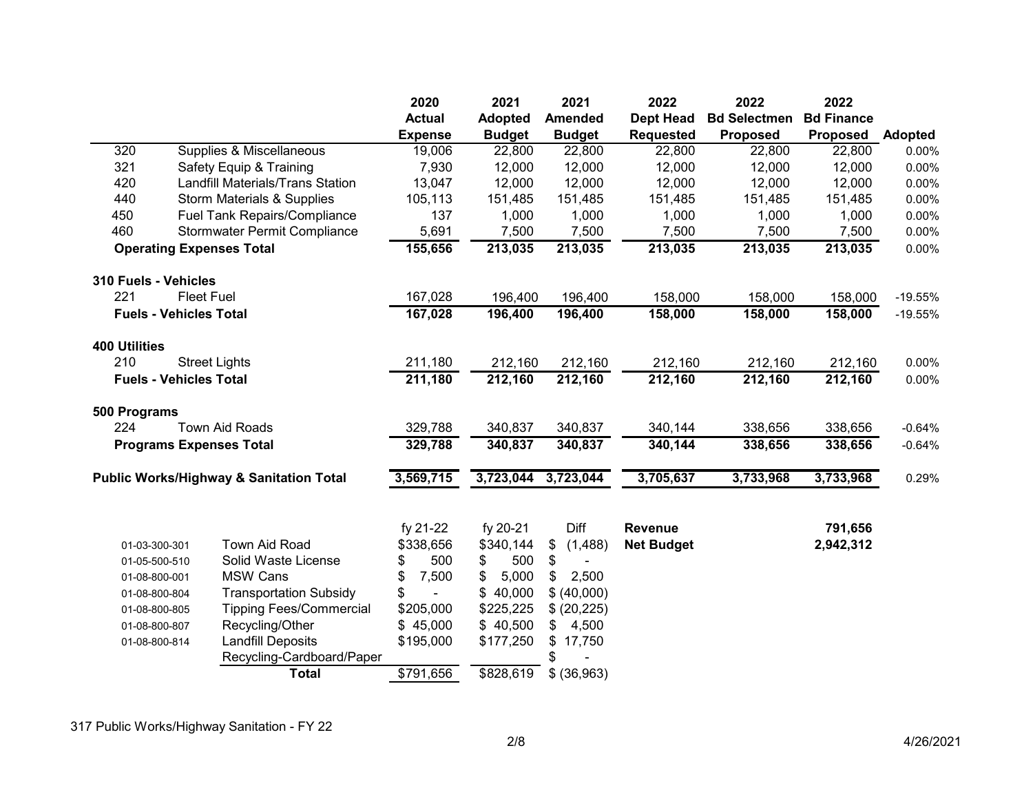|                      |                                                    | 2020           | 2021           | 2021           | 2022              | 2022                | 2022              |                |
|----------------------|----------------------------------------------------|----------------|----------------|----------------|-------------------|---------------------|-------------------|----------------|
|                      |                                                    | <b>Actual</b>  | <b>Adopted</b> | <b>Amended</b> | <b>Dept Head</b>  | <b>Bd Selectmen</b> | <b>Bd Finance</b> |                |
|                      |                                                    | <b>Expense</b> | <b>Budget</b>  | <b>Budget</b>  | <b>Requested</b>  | <b>Proposed</b>     | Proposed          | <b>Adopted</b> |
| 320                  | Supplies & Miscellaneous                           | 19,006         | 22,800         | 22,800         | 22,800            | 22,800              | 22,800            | 0.00%          |
| 321                  | Safety Equip & Training                            | 7,930          | 12,000         | 12,000         | 12,000            | 12,000              | 12,000            | 0.00%          |
| 420                  | <b>Landfill Materials/Trans Station</b>            | 13,047         | 12,000         | 12,000         | 12,000            | 12,000              | 12,000            | 0.00%          |
| 440                  | <b>Storm Materials &amp; Supplies</b>              | 105,113        | 151,485        | 151,485        | 151,485           | 151,485             | 151,485           | 0.00%          |
| 450                  | <b>Fuel Tank Repairs/Compliance</b>                | 137            | 1,000          | 1,000          | 1,000             | 1,000               | 1,000             | 0.00%          |
| 460                  | Stormwater Permit Compliance                       | 5,691          | 7,500          | 7,500          | 7,500             | 7,500               | 7,500             | 0.00%          |
|                      | <b>Operating Expenses Total</b>                    | 155,656        | 213,035        | 213,035        | 213,035           | 213,035             | 213,035           | 0.00%          |
| 310 Fuels - Vehicles |                                                    |                |                |                |                   |                     |                   |                |
| 221                  | <b>Fleet Fuel</b>                                  | 167,028        | 196,400        | 196,400        | 158,000           | 158,000             | 158,000           | $-19.55%$      |
|                      | <b>Fuels - Vehicles Total</b>                      | 167,028        | 196,400        | 196,400        | 158,000           | 158,000             | 158,000           | $-19.55%$      |
| <b>400 Utilities</b> |                                                    |                |                |                |                   |                     |                   |                |
| 210                  | <b>Street Lights</b>                               | 211,180        | 212,160        | 212,160        | 212,160           | 212,160             | 212,160           | 0.00%          |
|                      | <b>Fuels - Vehicles Total</b>                      | 211,180        | 212,160        | 212,160        | 212,160           | 212,160             | 212,160           | 0.00%          |
| 500 Programs         |                                                    |                |                |                |                   |                     |                   |                |
| 224                  | <b>Town Aid Roads</b>                              | 329,788        | 340,837        | 340,837        | 340,144           | 338,656             | 338,656           | $-0.64%$       |
|                      | <b>Programs Expenses Total</b>                     | 329,788        | 340,837        | 340,837        | 340,144           | 338,656             | 338,656           | $-0.64%$       |
|                      | <b>Public Works/Highway &amp; Sanitation Total</b> | 3,569,715      | 3,723,044      | 3,723,044      | 3,705,637         | 3,733,968           | 3,733,968         | 0.29%          |
|                      |                                                    | fy 21-22       | fy 20-21       | Diff           | <b>Revenue</b>    |                     | 791,656           |                |
|                      | Town Aid Road<br>01-03-300-301                     | \$338,656      | \$340,144      | (1,488)<br>\$  | <b>Net Budget</b> |                     | 2,942,312         |                |
|                      | Solid Waste License<br>01-05-500-510               | 500<br>\$      | 500<br>\$      | \$             |                   |                     |                   |                |
|                      | <b>MSW Cans</b><br>01-08-800-001                   | \$<br>7,500    | 5,000<br>\$    | 2,500<br>\$    |                   |                     |                   |                |
|                      | <b>Transportation Subsidy</b><br>01-08-800-804     | \$             | \$40,000       | \$ (40,000)    |                   |                     |                   |                |
|                      | <b>Tipping Fees/Commercial</b><br>01-08-800-805    | \$205,000      | \$225,225      | \$ (20, 225)   |                   |                     |                   |                |
|                      | Recycling/Other<br>01-08-800-807                   | \$45,000       | \$40,500       | \$<br>4,500    |                   |                     |                   |                |
|                      | <b>Landfill Deposits</b><br>01-08-800-814          | \$195,000      | \$177,250      | \$<br>17,750   |                   |                     |                   |                |
|                      | Recycling-Cardboard/Paper                          |                |                | \$             |                   |                     |                   |                |
|                      | <b>Total</b>                                       | \$791,656      | \$828,619      | \$ (36,963)    |                   |                     |                   |                |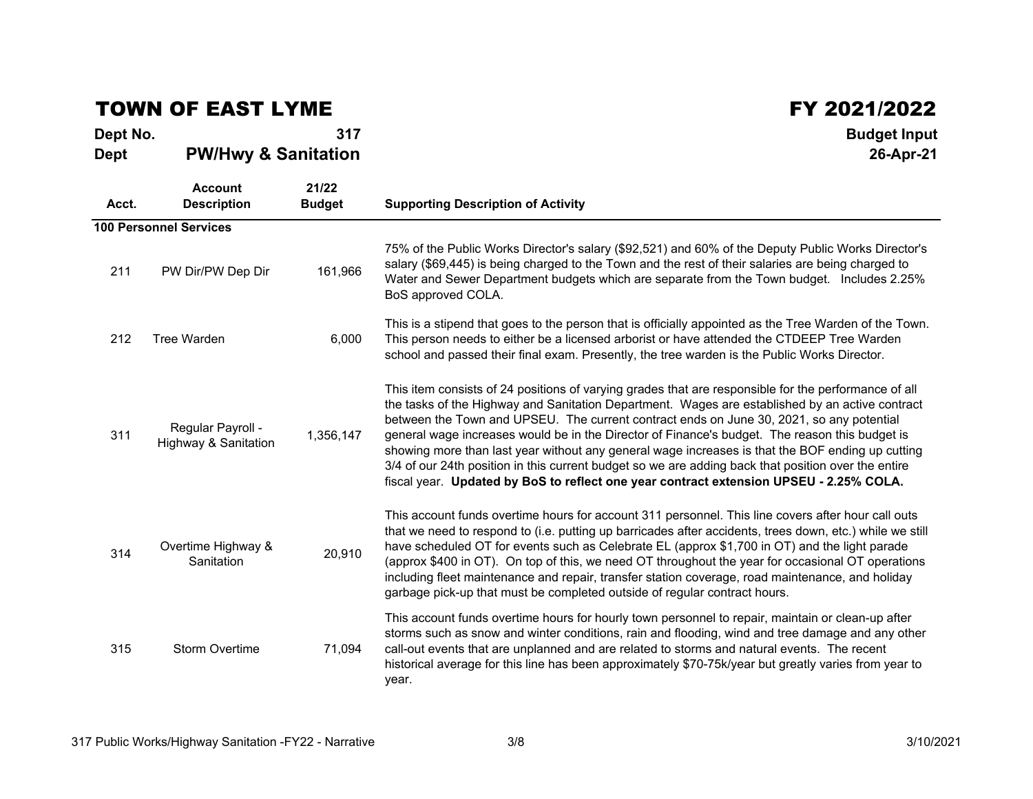## TOWN OF EAST LYME

 $\mathsf{FY}$  2021/2022<br>317 Budget Input

| Dept No.<br><b>Dept</b> | <b>PW/Hwy &amp; Sanitation</b>            | 317                    | <b>Budget Input</b><br>26-Apr-21                                                                                                                                                                                                                                                                                                                                                                                                                                                                                                                                                                                                                                                                           |  |  |  |  |  |
|-------------------------|-------------------------------------------|------------------------|------------------------------------------------------------------------------------------------------------------------------------------------------------------------------------------------------------------------------------------------------------------------------------------------------------------------------------------------------------------------------------------------------------------------------------------------------------------------------------------------------------------------------------------------------------------------------------------------------------------------------------------------------------------------------------------------------------|--|--|--|--|--|
| Acct.                   | <b>Account</b><br><b>Description</b>      | 21/22<br><b>Budget</b> | <b>Supporting Description of Activity</b>                                                                                                                                                                                                                                                                                                                                                                                                                                                                                                                                                                                                                                                                  |  |  |  |  |  |
|                         | <b>100 Personnel Services</b>             |                        |                                                                                                                                                                                                                                                                                                                                                                                                                                                                                                                                                                                                                                                                                                            |  |  |  |  |  |
| 211                     | PW Dir/PW Dep Dir                         | 161,966                | 75% of the Public Works Director's salary (\$92,521) and 60% of the Deputy Public Works Director's<br>salary (\$69,445) is being charged to the Town and the rest of their salaries are being charged to<br>Water and Sewer Department budgets which are separate from the Town budget. Includes 2.25%<br>BoS approved COLA.                                                                                                                                                                                                                                                                                                                                                                               |  |  |  |  |  |
| 212                     | <b>Tree Warden</b>                        | 6,000                  | This is a stipend that goes to the person that is officially appointed as the Tree Warden of the Town.<br>This person needs to either be a licensed arborist or have attended the CTDEEP Tree Warden<br>school and passed their final exam. Presently, the tree warden is the Public Works Director.                                                                                                                                                                                                                                                                                                                                                                                                       |  |  |  |  |  |
| 311                     | Regular Payroll -<br>Highway & Sanitation | 1,356,147              | This item consists of 24 positions of varying grades that are responsible for the performance of all<br>the tasks of the Highway and Sanitation Department. Wages are established by an active contract<br>between the Town and UPSEU. The current contract ends on June 30, 2021, so any potential<br>general wage increases would be in the Director of Finance's budget. The reason this budget is<br>showing more than last year without any general wage increases is that the BOF ending up cutting<br>3/4 of our 24th position in this current budget so we are adding back that position over the entire<br>fiscal year. Updated by BoS to reflect one year contract extension UPSEU - 2.25% COLA. |  |  |  |  |  |
| 314                     | Overtime Highway &<br>Sanitation          | 20,910                 | This account funds overtime hours for account 311 personnel. This line covers after hour call outs<br>that we need to respond to (i.e. putting up barricades after accidents, trees down, etc.) while we still<br>have scheduled OT for events such as Celebrate EL (approx \$1,700 in OT) and the light parade<br>(approx \$400 in OT). On top of this, we need OT throughout the year for occasional OT operations<br>including fleet maintenance and repair, transfer station coverage, road maintenance, and holiday<br>garbage pick-up that must be completed outside of regular contract hours.                                                                                                      |  |  |  |  |  |
| 315                     | <b>Storm Overtime</b>                     | 71,094                 | This account funds overtime hours for hourly town personnel to repair, maintain or clean-up after<br>storms such as snow and winter conditions, rain and flooding, wind and tree damage and any other<br>call-out events that are unplanned and are related to storms and natural events. The recent<br>historical average for this line has been approximately \$70-75k/year but greatly varies from year to<br>year.                                                                                                                                                                                                                                                                                     |  |  |  |  |  |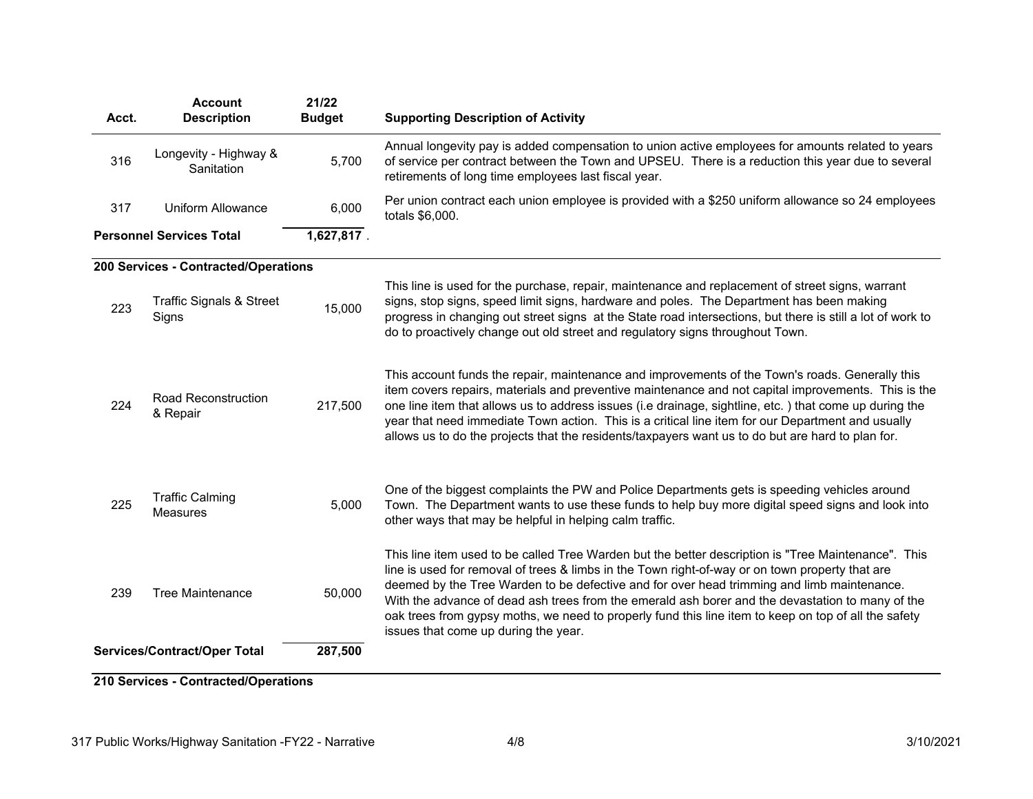| Acct. | <b>Account</b><br><b>Description</b>         | 21/22<br><b>Budget</b> | <b>Supporting Description of Activity</b>                                                                                                                                                                                                                                                                                                                                                                                                                                                                                                                |
|-------|----------------------------------------------|------------------------|----------------------------------------------------------------------------------------------------------------------------------------------------------------------------------------------------------------------------------------------------------------------------------------------------------------------------------------------------------------------------------------------------------------------------------------------------------------------------------------------------------------------------------------------------------|
| 316   | Longevity - Highway &<br>Sanitation          | 5,700                  | Annual longevity pay is added compensation to union active employees for amounts related to years<br>of service per contract between the Town and UPSEU. There is a reduction this year due to several<br>retirements of long time employees last fiscal year.                                                                                                                                                                                                                                                                                           |
| 317   | <b>Uniform Allowance</b>                     | 6,000                  | Per union contract each union employee is provided with a \$250 uniform allowance so 24 employees<br>totals \$6,000.                                                                                                                                                                                                                                                                                                                                                                                                                                     |
|       | <b>Personnel Services Total</b>              | 1,627,817.             |                                                                                                                                                                                                                                                                                                                                                                                                                                                                                                                                                          |
|       | 200 Services - Contracted/Operations         |                        |                                                                                                                                                                                                                                                                                                                                                                                                                                                                                                                                                          |
| 223   | <b>Traffic Signals &amp; Street</b><br>Signs | 15,000                 | This line is used for the purchase, repair, maintenance and replacement of street signs, warrant<br>signs, stop signs, speed limit signs, hardware and poles. The Department has been making<br>progress in changing out street signs at the State road intersections, but there is still a lot of work to<br>do to proactively change out old street and regulatory signs throughout Town.                                                                                                                                                              |
| 224   | Road Reconstruction<br>& Repair              | 217,500                | This account funds the repair, maintenance and improvements of the Town's roads. Generally this<br>item covers repairs, materials and preventive maintenance and not capital improvements. This is the<br>one line item that allows us to address issues (i.e drainage, sightline, etc.) that come up during the<br>year that need immediate Town action. This is a critical line item for our Department and usually<br>allows us to do the projects that the residents/taxpayers want us to do but are hard to plan for.                               |
| 225   | <b>Traffic Calming</b><br>Measures           | 5,000                  | One of the biggest complaints the PW and Police Departments gets is speeding vehicles around<br>Town. The Department wants to use these funds to help buy more digital speed signs and look into<br>other ways that may be helpful in helping calm traffic.                                                                                                                                                                                                                                                                                              |
| 239   | <b>Tree Maintenance</b>                      | 50,000                 | This line item used to be called Tree Warden but the better description is "Tree Maintenance". This<br>line is used for removal of trees & limbs in the Town right-of-way or on town property that are<br>deemed by the Tree Warden to be defective and for over head trimming and limb maintenance.<br>With the advance of dead ash trees from the emerald ash borer and the devastation to many of the<br>oak trees from gypsy moths, we need to properly fund this line item to keep on top of all the safety<br>issues that come up during the year. |
|       | Services/Contract/Oper Total                 | 287,500                |                                                                                                                                                                                                                                                                                                                                                                                                                                                                                                                                                          |

**210 Services - Contracted/Operations**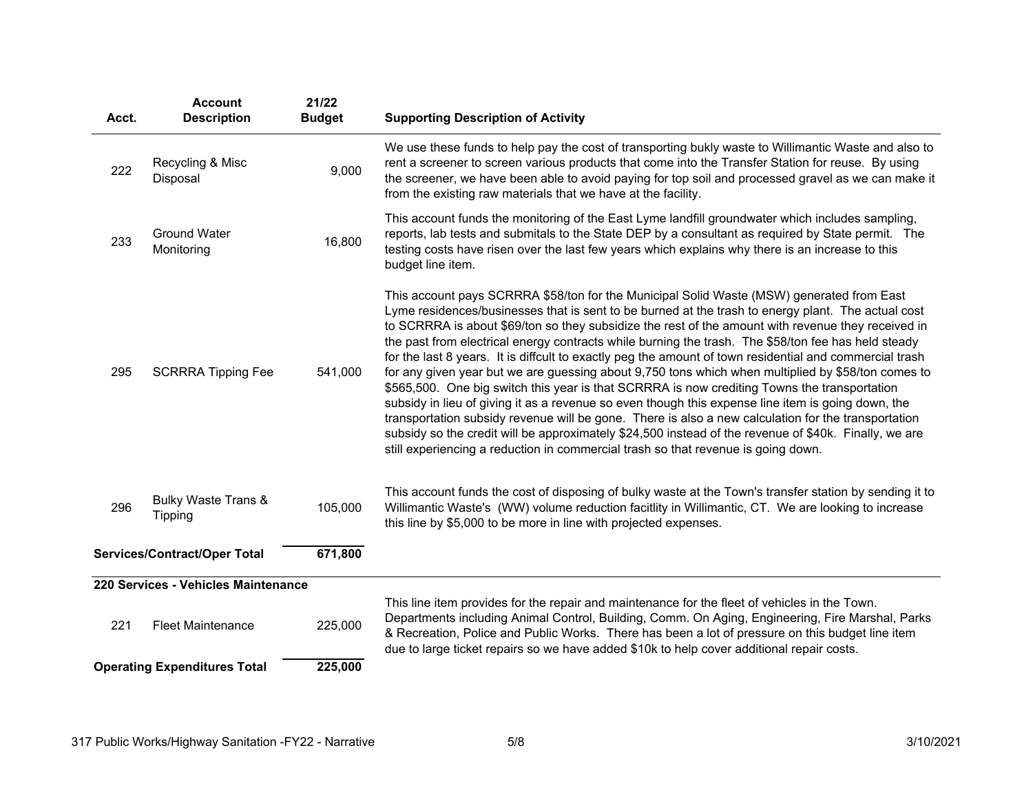| Acct.                               | <b>Account</b><br><b>Description</b>             | 21/22<br><b>Budget</b> | <b>Supporting Description of Activity</b>                                                                                                                                                                                                                                                                                                                                                                                                                                                                                                                                                                                                                                                                                                                                                                                                                                                                                                                                                                                                                                                                                                |
|-------------------------------------|--------------------------------------------------|------------------------|------------------------------------------------------------------------------------------------------------------------------------------------------------------------------------------------------------------------------------------------------------------------------------------------------------------------------------------------------------------------------------------------------------------------------------------------------------------------------------------------------------------------------------------------------------------------------------------------------------------------------------------------------------------------------------------------------------------------------------------------------------------------------------------------------------------------------------------------------------------------------------------------------------------------------------------------------------------------------------------------------------------------------------------------------------------------------------------------------------------------------------------|
| 222                                 | Recycling & Misc<br>Disposal                     | 9,000                  | We use these funds to help pay the cost of transporting bukly waste to Willimantic Waste and also to<br>rent a screener to screen various products that come into the Transfer Station for reuse. By using<br>the screener, we have been able to avoid paying for top soil and processed gravel as we can make it<br>from the existing raw materials that we have at the facility.                                                                                                                                                                                                                                                                                                                                                                                                                                                                                                                                                                                                                                                                                                                                                       |
| 233                                 | <b>Ground Water</b><br>Monitoring                | 16,800                 | This account funds the monitoring of the East Lyme landfill groundwater which includes sampling,<br>reports, lab tests and submitals to the State DEP by a consultant as required by State permit. The<br>testing costs have risen over the last few years which explains why there is an increase to this<br>budget line item.                                                                                                                                                                                                                                                                                                                                                                                                                                                                                                                                                                                                                                                                                                                                                                                                          |
| 295                                 | <b>SCRRRA Tipping Fee</b>                        | 541,000                | This account pays SCRRRA \$58/ton for the Municipal Solid Waste (MSW) generated from East<br>Lyme residences/businesses that is sent to be burned at the trash to energy plant. The actual cost<br>to SCRRRA is about \$69/ton so they subsidize the rest of the amount with revenue they received in<br>the past from electrical energy contracts while burning the trash. The \$58/ton fee has held steady<br>for the last 8 years. It is diffcult to exactly peg the amount of town residential and commercial trash<br>for any given year but we are guessing about 9,750 tons which when multiplied by \$58/ton comes to<br>\$565,500. One big switch this year is that SCRRRA is now crediting Towns the transportation<br>subsidy in lieu of giving it as a revenue so even though this expense line item is going down, the<br>transportation subsidy revenue will be gone. There is also a new calculation for the transportation<br>subsidy so the credit will be approximately \$24,500 instead of the revenue of \$40k. Finally, we are<br>still experiencing a reduction in commercial trash so that revenue is going down. |
| 296                                 | <b>Bulky Waste Trans &amp;</b><br><b>Tipping</b> | 105,000                | This account funds the cost of disposing of bulky waste at the Town's transfer station by sending it to<br>Willimantic Waste's (WW) volume reduction facitity in Willimantic, CT. We are looking to increase<br>this line by \$5,000 to be more in line with projected expenses.                                                                                                                                                                                                                                                                                                                                                                                                                                                                                                                                                                                                                                                                                                                                                                                                                                                         |
| Services/Contract/Oper Total        |                                                  | 671,800                |                                                                                                                                                                                                                                                                                                                                                                                                                                                                                                                                                                                                                                                                                                                                                                                                                                                                                                                                                                                                                                                                                                                                          |
|                                     | 220 Services - Vehicles Maintenance              |                        |                                                                                                                                                                                                                                                                                                                                                                                                                                                                                                                                                                                                                                                                                                                                                                                                                                                                                                                                                                                                                                                                                                                                          |
| 221                                 | <b>Fleet Maintenance</b>                         | 225,000                | This line item provides for the repair and maintenance for the fleet of vehicles in the Town.<br>Departments including Animal Control, Building, Comm. On Aging, Engineering, Fire Marshal, Parks<br>& Recreation, Police and Public Works. There has been a lot of pressure on this budget line item<br>due to large ticket repairs so we have added \$10k to help cover additional repair costs.                                                                                                                                                                                                                                                                                                                                                                                                                                                                                                                                                                                                                                                                                                                                       |
| <b>Operating Expenditures Total</b> |                                                  | 225,000                |                                                                                                                                                                                                                                                                                                                                                                                                                                                                                                                                                                                                                                                                                                                                                                                                                                                                                                                                                                                                                                                                                                                                          |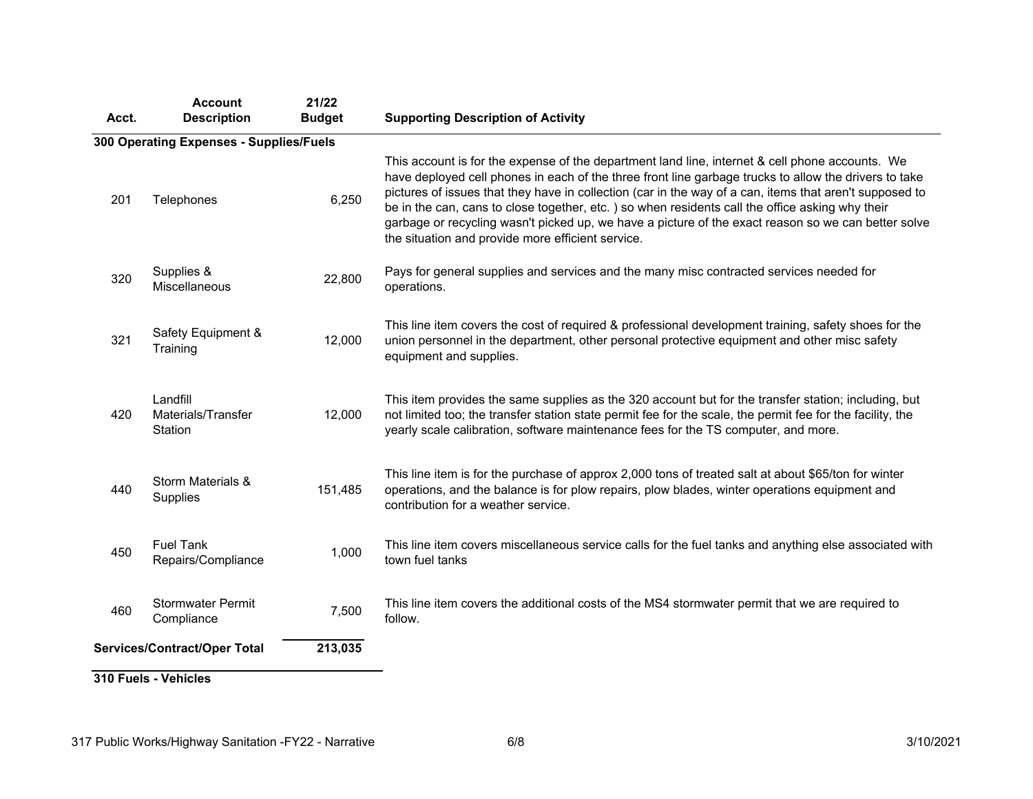| Acct. | <b>Account</b><br><b>Description</b>      | 21/22<br><b>Budget</b> | <b>Supporting Description of Activity</b>                                                                                                                                                                                                                                                                                                                                                                                                                                                                                                                                          |
|-------|-------------------------------------------|------------------------|------------------------------------------------------------------------------------------------------------------------------------------------------------------------------------------------------------------------------------------------------------------------------------------------------------------------------------------------------------------------------------------------------------------------------------------------------------------------------------------------------------------------------------------------------------------------------------|
|       | 300 Operating Expenses - Supplies/Fuels   |                        |                                                                                                                                                                                                                                                                                                                                                                                                                                                                                                                                                                                    |
| 201   | Telephones                                | 6,250                  | This account is for the expense of the department land line, internet & cell phone accounts. We<br>have deployed cell phones in each of the three front line garbage trucks to allow the drivers to take<br>pictures of issues that they have in collection (car in the way of a can, items that aren't supposed to<br>be in the can, cans to close together, etc.) so when residents call the office asking why their<br>garbage or recycling wasn't picked up, we have a picture of the exact reason so we can better solve<br>the situation and provide more efficient service. |
| 320   | Supplies &<br><b>Miscellaneous</b>        | 22,800                 | Pays for general supplies and services and the many misc contracted services needed for<br>operations.                                                                                                                                                                                                                                                                                                                                                                                                                                                                             |
| 321   | Safety Equipment &<br>Training            | 12,000                 | This line item covers the cost of required & professional development training, safety shoes for the<br>union personnel in the department, other personal protective equipment and other misc safety<br>equipment and supplies.                                                                                                                                                                                                                                                                                                                                                    |
| 420   | Landfill<br>Materials/Transfer<br>Station | 12,000                 | This item provides the same supplies as the 320 account but for the transfer station; including, but<br>not limited too; the transfer station state permit fee for the scale, the permit fee for the facility, the<br>yearly scale calibration, software maintenance fees for the TS computer, and more.                                                                                                                                                                                                                                                                           |
| 440   | Storm Materials &<br><b>Supplies</b>      | 151,485                | This line item is for the purchase of approx 2,000 tons of treated salt at about \$65/ton for winter<br>operations, and the balance is for plow repairs, plow blades, winter operations equipment and<br>contribution for a weather service.                                                                                                                                                                                                                                                                                                                                       |
| 450   | <b>Fuel Tank</b><br>Repairs/Compliance    | 1,000                  | This line item covers miscellaneous service calls for the fuel tanks and anything else associated with<br>town fuel tanks                                                                                                                                                                                                                                                                                                                                                                                                                                                          |
| 460   | <b>Stormwater Permit</b><br>Compliance    | 7,500                  | This line item covers the additional costs of the MS4 stormwater permit that we are required to<br>follow.                                                                                                                                                                                                                                                                                                                                                                                                                                                                         |
|       | <b>Services/Contract/Oper Total</b>       | 213,035                |                                                                                                                                                                                                                                                                                                                                                                                                                                                                                                                                                                                    |
|       | 310 Fuels - Vehicles                      |                        |                                                                                                                                                                                                                                                                                                                                                                                                                                                                                                                                                                                    |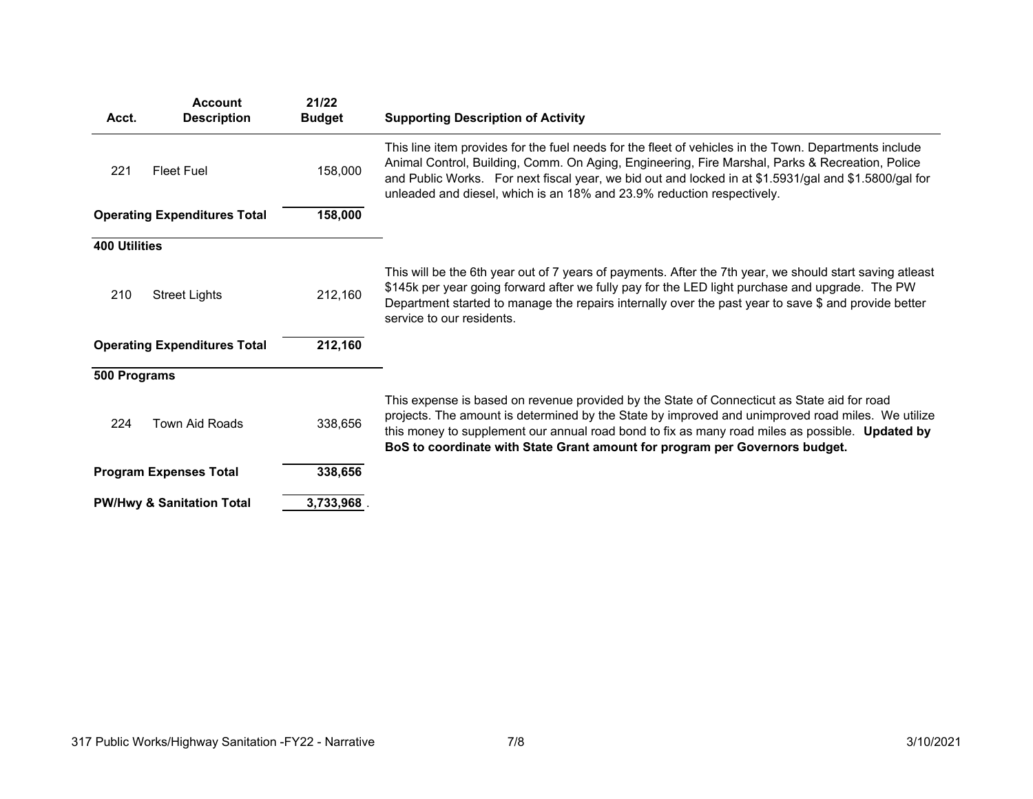| Acct.                | <b>Account</b><br><b>Description</b> | 21/22<br><b>Budget</b> | <b>Supporting Description of Activity</b>                                                                                                                                                                                                                                                                                                                                                   |
|----------------------|--------------------------------------|------------------------|---------------------------------------------------------------------------------------------------------------------------------------------------------------------------------------------------------------------------------------------------------------------------------------------------------------------------------------------------------------------------------------------|
| 221                  | <b>Fleet Fuel</b>                    | 158,000                | This line item provides for the fuel needs for the fleet of vehicles in the Town. Departments include<br>Animal Control, Building, Comm. On Aging, Engineering, Fire Marshal, Parks & Recreation, Police<br>and Public Works. For next fiscal year, we bid out and locked in at \$1.5931/gal and \$1.5800/gal for<br>unleaded and diesel, which is an 18% and 23.9% reduction respectively. |
|                      | <b>Operating Expenditures Total</b>  | 158,000                |                                                                                                                                                                                                                                                                                                                                                                                             |
| <b>400 Utilities</b> |                                      |                        |                                                                                                                                                                                                                                                                                                                                                                                             |
| 210                  | <b>Street Lights</b>                 | 212,160                | This will be the 6th year out of 7 years of payments. After the 7th year, we should start saving atleast<br>\$145k per year going forward after we fully pay for the LED light purchase and upgrade. The PW<br>Department started to manage the repairs internally over the past year to save \$ and provide better<br>service to our residents.                                            |
|                      | <b>Operating Expenditures Total</b>  | 212,160                |                                                                                                                                                                                                                                                                                                                                                                                             |
| 500 Programs         |                                      |                        |                                                                                                                                                                                                                                                                                                                                                                                             |
| 224                  | Town Aid Roads                       | 338,656                | This expense is based on revenue provided by the State of Connecticut as State aid for road<br>projects. The amount is determined by the State by improved and unimproved road miles. We utilize<br>this money to supplement our annual road bond to fix as many road miles as possible. Updated by<br>BoS to coordinate with State Grant amount for program per Governors budget.          |
|                      | <b>Program Expenses Total</b>        | 338,656                |                                                                                                                                                                                                                                                                                                                                                                                             |
|                      | <b>PW/Hwy &amp; Sanitation Total</b> | 3,733,968              |                                                                                                                                                                                                                                                                                                                                                                                             |